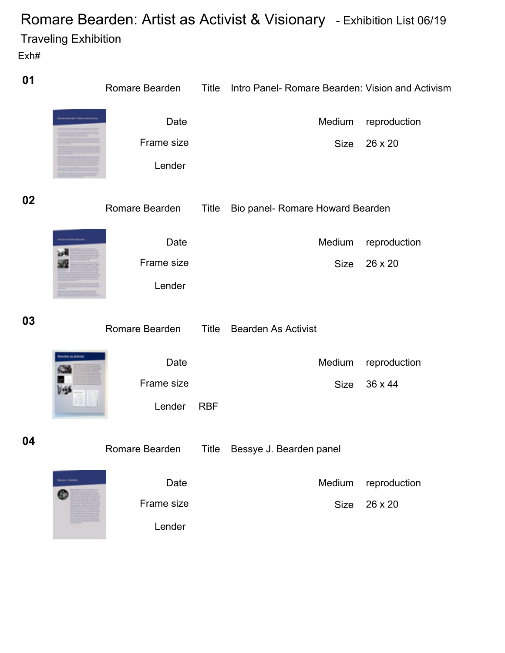Traveling Exhibition

| 01 |                  | Romare Bearden               | Title      | Intro Panel- Romare Bearden: Vision and Activism |                         |
|----|------------------|------------------------------|------------|--------------------------------------------------|-------------------------|
|    |                  | Date<br>Frame size<br>Lender |            | Medium<br><b>Size</b>                            | reproduction<br>26 x 20 |
| 02 |                  | Romare Bearden               | Title      | Bio panel- Romare Howard Bearden                 |                         |
|    | ᆆ                | Date<br>Frame size<br>Lender |            | Medium<br><b>Size</b>                            | reproduction<br>26 x 20 |
| 03 |                  | Romare Bearden               | Title      | <b>Bearden As Activist</b>                       |                         |
|    | enter as Activis | Date<br>Frame size<br>Lender | <b>RBF</b> | Medium<br><b>Size</b>                            | reproduction<br>36 x 44 |
| 04 |                  | Romare Bearden               |            | Title Bessye J. Bearden panel                    |                         |
|    | ଈ                | Date<br>Frame size<br>Lender |            | Medium<br><b>Size</b>                            | reproduction<br>26 x 20 |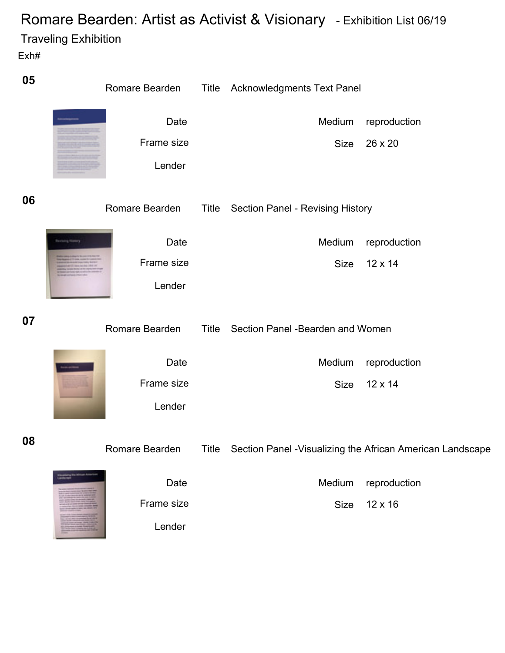| 05 | Romare Bearden               | Title | Acknowledgments Text Panel                                |                         |
|----|------------------------------|-------|-----------------------------------------------------------|-------------------------|
|    | Date<br>Frame size<br>Lender |       | Medium<br><b>Size</b>                                     | reproduction<br>26 x 20 |
| 06 | Romare Bearden               | Title | <b>Section Panel - Revising History</b>                   |                         |
|    | Date<br>Frame size<br>Lender |       | Medium<br><b>Size</b>                                     | reproduction<br>12 x 14 |
| 07 | Romare Bearden               | Title | Section Panel - Bearden and Women                         |                         |
|    | Date<br>Frame size<br>Lender |       | Medium<br><b>Size</b>                                     | reproduction<br>12 x 14 |
| 08 | Romare Bearden               | Title | Section Panel -Visualizing the African American Landscape |                         |
|    | Date<br>Frame size<br>Lender |       | Medium<br>Size                                            | reproduction<br>12 x 16 |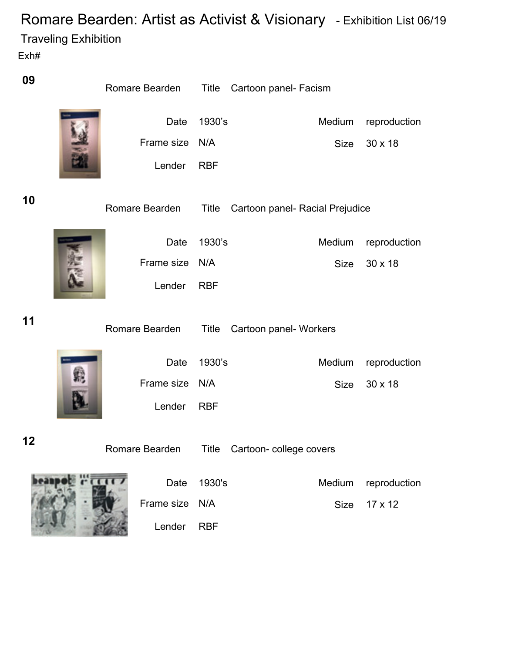Traveling Exhibition

| 09 | Romare Bearden | Title      | Cartoon panel- Facism           |              |
|----|----------------|------------|---------------------------------|--------------|
|    | Date           | 1930's     | Medium                          | reproduction |
|    | Frame size     | N/A        | <b>Size</b>                     | 30 x 18      |
|    | Lender         | <b>RBF</b> |                                 |              |
| 10 | Romare Bearden | Title      | Cartoon panel- Racial Prejudice |              |
|    | Date           | 1930's     | Medium                          | reproduction |
|    | Frame size N/A |            | <b>Size</b>                     | 30 x 18      |
|    | Lender         | <b>RBF</b> |                                 |              |
| 11 | Romare Bearden | Title      | Cartoon panel- Workers          |              |
|    | Date           | 1930's     | Medium                          | reproduction |
|    | Frame size N/A |            | <b>Size</b>                     | 30 x 18      |
|    | Lender         | <b>RBF</b> |                                 |              |
| 12 | Romare Bearden |            | Title Cartoon- college covers   |              |
|    | Date           | 1930's     | Medium                          | reproduction |
|    | Frame size     | N/A        | <b>Size</b>                     | 17 x 12      |
|    | Lender         | <b>RBF</b> |                                 |              |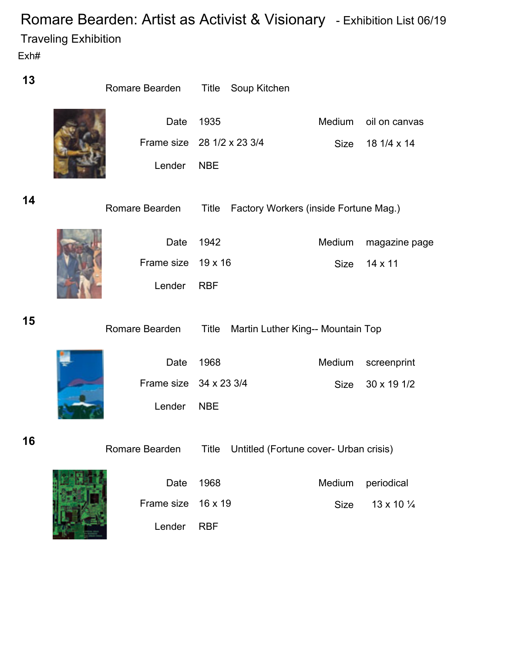Traveling Exhibition

| 13 | Romare Bearden             | Title          | Soup Kitchen                                 |             |               |
|----|----------------------------|----------------|----------------------------------------------|-------------|---------------|
|    | Date                       | 1935           |                                              | Medium      | oil on canvas |
|    | Frame size 28 1/2 x 23 3/4 |                |                                              | <b>Size</b> | 18 1/4 x 14   |
|    | Lender                     | <b>NBE</b>     |                                              |             |               |
| 14 | Romare Bearden             | Title          | Factory Workers (inside Fortune Mag.)        |             |               |
|    | Date                       | 1942           |                                              | Medium      | magazine page |
|    | Frame size                 | $19 \times 16$ |                                              | <b>Size</b> | 14 x 11       |
|    | Lender                     | <b>RBF</b>     |                                              |             |               |
| 15 | Romare Bearden             | Title          | Martin Luther King-- Mountain Top            |             |               |
|    | Date                       | 1968           |                                              | Medium      | screenprint   |
|    | Frame size 34 x 23 3/4     |                |                                              | <b>Size</b> | 30 x 19 1/2   |
|    | Lender                     | <b>NBE</b>     |                                              |             |               |
| 16 | Romare Bearden             |                | Title Untitled (Fortune cover- Urban crisis) |             |               |
|    | Date                       | 1968           |                                              | Medium      | periodical    |
|    | Frame size                 | 16 x 19        |                                              | <b>Size</b> | 13 x 10 1/4   |
|    | Lender                     | <b>RBF</b>     |                                              |             |               |
|    |                            |                |                                              |             |               |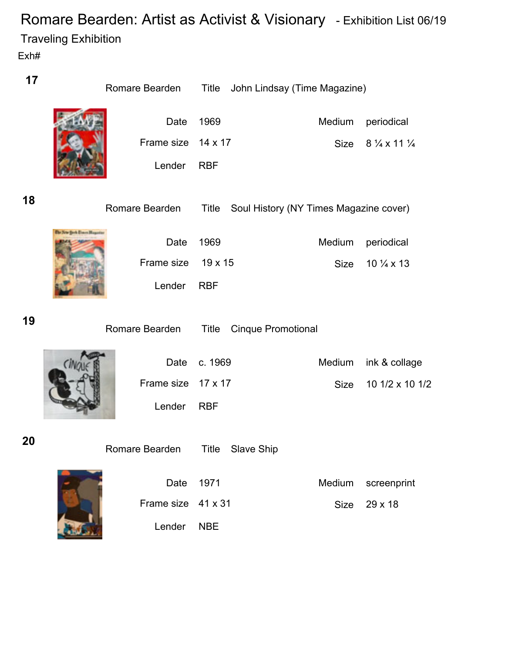| 17 | Romare Bearden                                   |                                                     |                           | Title John Lindsay (Time Magazine)     |                                                 |
|----|--------------------------------------------------|-----------------------------------------------------|---------------------------|----------------------------------------|-------------------------------------------------|
|    | Frame size<br>Lender                             | 1969<br>Date<br>$14 \times 17$<br><b>RBF</b>        |                           | Medium<br><b>Size</b>                  | periodical<br>$8\frac{1}{4}$ x 11 $\frac{1}{4}$ |
| 18 | Romare Bearden                                   | Title                                               |                           | Soul History (NY Times Magazine cover) |                                                 |
|    | b New Hork Einen Magazin<br>Frame size<br>Lender | 1969<br>Date<br>$19 \times 15$<br><b>RBF</b>        |                           | Medium<br><b>Size</b>                  | periodical<br>$10\frac{1}{4}$ x 13              |
| 19 | Romare Bearden                                   | Title                                               | <b>Cinque Promotional</b> |                                        |                                                 |
|    | Lender                                           | c. 1969<br>Date<br>Frame size 17 x 17<br><b>RBF</b> |                           | Medium<br>Size                         | ink & collage<br>10 1/2 x 10 1/2                |
| 20 | Romare Bearden                                   |                                                     | Title Slave Ship          |                                        |                                                 |
|    | Frame size<br>Lender                             | 1971<br>Date<br>41 x 31<br><b>NBE</b>               |                           | Medium<br><b>Size</b>                  | screenprint<br>29 x 18                          |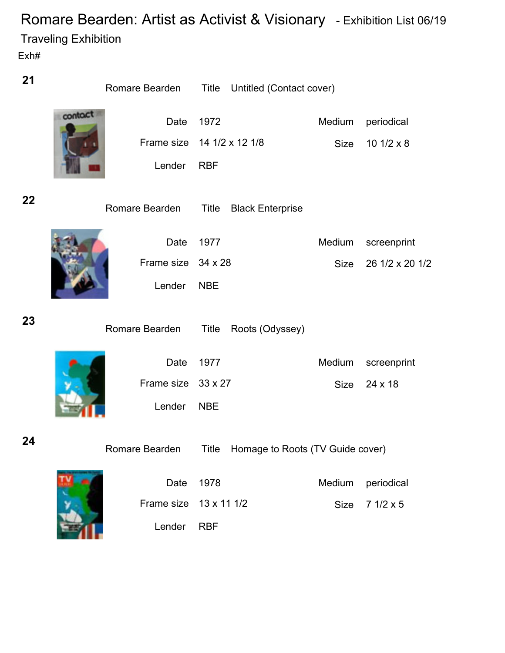| 21 |         | Romare Bearden                               | Title              | Untitled (Contact cover)         |                       |                                 |
|----|---------|----------------------------------------------|--------------------|----------------------------------|-----------------------|---------------------------------|
|    | contact | Date<br>Frame size 14 1/2 x 12 1/8<br>Lender | 1972<br><b>RBF</b> |                                  | Medium<br><b>Size</b> | periodical<br>10 $1/2 \times 8$ |
| 22 |         | Romare Bearden                               | Title              | <b>Black Enterprise</b>          |                       |                                 |
|    |         | Date                                         | 1977               |                                  | Medium                | screenprint                     |
|    |         | Frame size 34 x 28                           |                    |                                  | <b>Size</b>           | 26 1/2 x 20 1/2                 |
|    |         | Lender                                       | <b>NBE</b>         |                                  |                       |                                 |
| 23 |         | Romare Bearden                               | Title              | Roots (Odyssey)                  |                       |                                 |
|    |         | Date                                         | 1977               |                                  | Medium                | screenprint                     |
|    |         | Frame size 33 x 27                           |                    |                                  | <b>Size</b>           | 24 x 18                         |
|    |         | Lender                                       | <b>NBE</b>         |                                  |                       |                                 |
| 24 |         | Romare Bearden                               | Title              | Homage to Roots (TV Guide cover) |                       |                                 |
|    |         | Date                                         | 1978               |                                  | Medium                | periodical                      |
|    |         | Frame size                                   | 13 x 11 1/2        |                                  | <b>Size</b>           | 71/2 x 5                        |
|    |         | Lender                                       | <b>RBF</b>         |                                  |                       |                                 |
|    |         |                                              |                    |                                  |                       |                                 |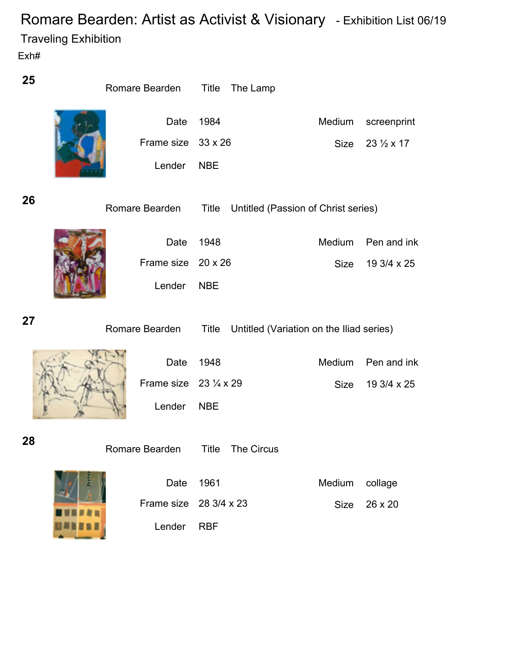Traveling Exhibition

| 25 | Romare Bearden                                         | Title              | The Lamp                                 |                       |                            |
|----|--------------------------------------------------------|--------------------|------------------------------------------|-----------------------|----------------------------|
|    | Date<br>Frame size 33 x 26<br>Lender                   | 1984<br><b>NBE</b> |                                          | Medium<br><b>Size</b> | screenprint<br>23 1/2 x 17 |
| 26 | Romare Bearden                                         | Title              | Untitled (Passion of Christ series)      |                       |                            |
|    | Date<br>Frame size 20 x 26<br>Lender                   | 1948<br><b>NBE</b> |                                          | Medium<br><b>Size</b> | Pen and ink<br>19 3/4 x 25 |
| 27 | Romare Bearden                                         | Title              | Untitled (Variation on the Iliad series) |                       |                            |
|    | Date<br>Frame size $23\frac{1}{4} \times 29$<br>Lender | 1948<br><b>NBE</b> |                                          | Medium<br>Size        | Pen and ink<br>19 3/4 x 25 |
| 28 | Romare Bearden                                         | Title              | The Circus                               |                       |                            |
|    | Date<br>Frame size 28 3/4 x 23<br>Lender               | 1961<br><b>RBF</b> |                                          | Medium<br><b>Size</b> | collage<br>26 x 20         |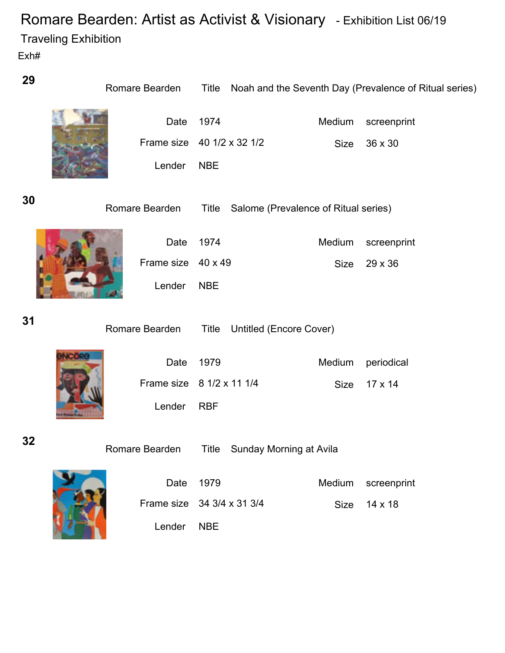Traveling Exhibition

| 29 |  | Romare Bearden                     | Title      |                                      | Noah and the Seventh Day (Prevalence of Ritual series) |
|----|--|------------------------------------|------------|--------------------------------------|--------------------------------------------------------|
|    |  | Date<br>Frame size 40 1/2 x 32 1/2 | 1974       | Medium<br><b>Size</b>                | screenprint<br>36 x 30                                 |
|    |  | Lender                             | <b>NBE</b> |                                      |                                                        |
| 30 |  | Romare Bearden                     | Title      | Salome (Prevalence of Ritual series) |                                                        |
|    |  | Date                               | 1974       | Medium                               | screenprint                                            |
|    |  | Frame size 40 x 49                 |            | <b>Size</b>                          | 29 x 36                                                |
|    |  | Lender                             | <b>NBE</b> |                                      |                                                        |
| 31 |  | Romare Bearden                     | Title      | <b>Untitled (Encore Cover)</b>       |                                                        |
|    |  | Date                               | 1979       | Medium                               | periodical                                             |
|    |  | Frame size 8 1/2 x 11 1/4          |            | <b>Size</b>                          | 17 x 14                                                |
|    |  | Lender                             | <b>RBF</b> |                                      |                                                        |
| 32 |  | Romare Bearden                     |            | Title Sunday Morning at Avila        |                                                        |
|    |  | Date                               | 1979       | Medium                               | screenprint                                            |
|    |  | Frame size 34 3/4 x 31 3/4         |            | <b>Size</b>                          | 14 x 18                                                |
|    |  | Lender                             | <b>NBE</b> |                                      |                                                        |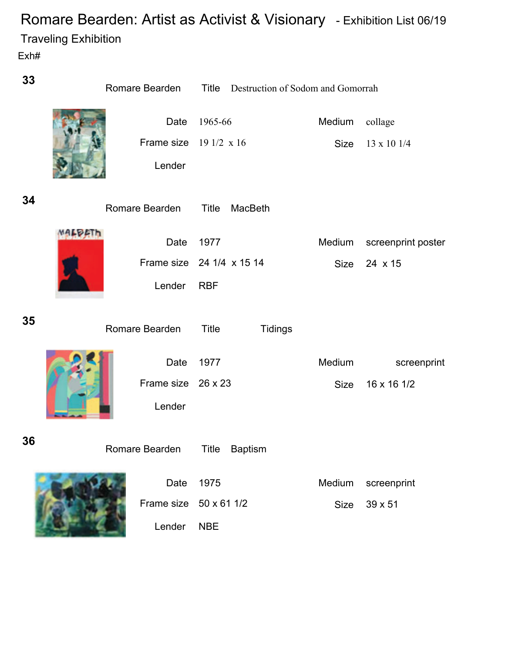Traveling Exhibition

| 33 | Romare Bearden |                                                                   |                | Title Destruction of Sodom and Gomorrah |                       |                               |
|----|----------------|-------------------------------------------------------------------|----------------|-----------------------------------------|-----------------------|-------------------------------|
|    | Lender         | Date<br>1965-66<br>Frame size $191/2 \times 16$                   |                |                                         | Medium<br><b>Size</b> | collage<br>13 x 10 1/4        |
| 34 | Romare Bearden | Title                                                             | MacBeth        |                                         |                       |                               |
|    |                | 1977<br>Date<br>Frame size 24 1/4 x 15 14<br>Lender<br><b>RBF</b> |                |                                         | Medium<br><b>Size</b> | screenprint poster<br>24 x 15 |
| 35 | Romare Bearden | Title                                                             |                | <b>Tidings</b>                          |                       |                               |
|    | Lender         | 1977<br>Date<br>Frame size 26 x 23                                |                |                                         | Medium<br><b>Size</b> | screenprint<br>16 x 16 1/2    |
| 36 | Romare Bearden | Title                                                             | <b>Baptism</b> |                                         |                       |                               |
|    |                | Date<br>1975<br>Frame size 50 x 61 1/2<br>Lender<br><b>NBE</b>    |                |                                         | Medium<br>Size        | screenprint<br>39 x 51        |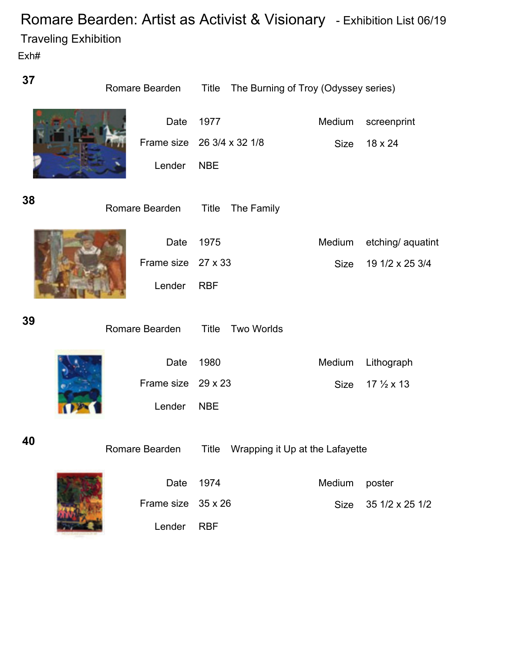| 37 | Romare Bearden |                            | Title      | The Burning of Troy (Odyssey series) |             |                           |
|----|----------------|----------------------------|------------|--------------------------------------|-------------|---------------------------|
|    |                | Date                       | 1977       |                                      | Medium      | screenprint               |
|    |                | Frame size 26 3/4 x 32 1/8 |            |                                      | <b>Size</b> | 18 x 24                   |
|    |                | Lender                     | <b>NBE</b> |                                      |             |                           |
| 38 | Romare Bearden |                            | Title      | The Family                           |             |                           |
|    |                | Date                       | 1975       |                                      | Medium      | etching/ aquatint         |
|    |                | Frame size 27 x 33         |            |                                      | <b>Size</b> | 19 1/2 x 25 3/4           |
|    |                | Lender                     | <b>RBF</b> |                                      |             |                           |
| 39 | Romare Bearden |                            | Title      | <b>Two Worlds</b>                    |             |                           |
|    |                | Date                       | 1980       |                                      | Medium      | Lithograph                |
|    |                | Frame size 29 x 23         |            |                                      | <b>Size</b> | $17\frac{1}{2} \times 13$ |
|    |                | Lender                     | <b>NBE</b> |                                      |             |                           |
| 40 | Romare Bearden |                            | Title      | Wrapping it Up at the Lafayette      |             |                           |
|    |                | Date                       | 1974       |                                      | Medium      | poster                    |
|    |                | Frame size                 | 35 x 26    |                                      | <b>Size</b> | 35 1/2 x 25 1/2           |
|    |                | Lender                     | <b>RBF</b> |                                      |             |                           |
|    |                |                            |            |                                      |             |                           |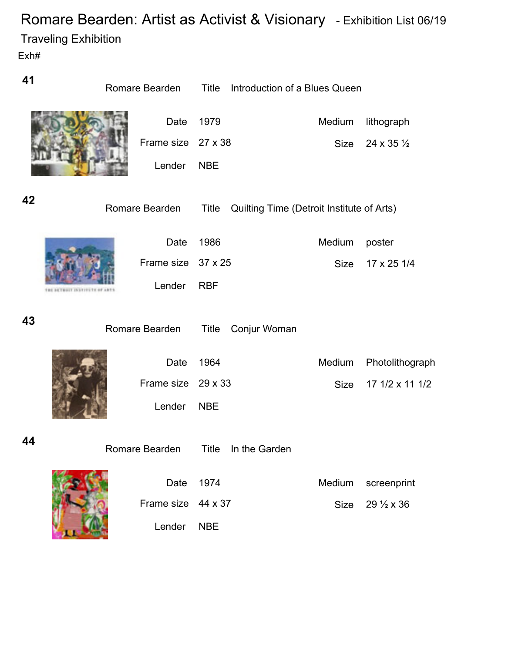|                                | Date   | 1979                                                                 | Medium        | lithograph                                                                                                                                                              |
|--------------------------------|--------|----------------------------------------------------------------------|---------------|-------------------------------------------------------------------------------------------------------------------------------------------------------------------------|
|                                |        |                                                                      | <b>Size</b>   | 24 x 35 $\frac{1}{2}$                                                                                                                                                   |
|                                | Lender | <b>NBE</b>                                                           |               |                                                                                                                                                                         |
|                                |        | Title                                                                |               |                                                                                                                                                                         |
|                                | Date   | 1986                                                                 | Medium        | poster                                                                                                                                                                  |
|                                |        |                                                                      | <b>Size</b>   | 17 x 25 1/4                                                                                                                                                             |
| <b>BULLET UNATTERFER OF AB</b> | Lender | <b>RBF</b>                                                           |               |                                                                                                                                                                         |
|                                |        | Title                                                                | Conjur Woman  |                                                                                                                                                                         |
|                                | Date   | 1964                                                                 | Medium        | Photolithograph                                                                                                                                                         |
|                                |        |                                                                      | <b>Size</b>   | 17 1/2 x 11 1/2                                                                                                                                                         |
|                                | Lender | <b>NBE</b>                                                           |               |                                                                                                                                                                         |
|                                |        | Title                                                                | In the Garden |                                                                                                                                                                         |
|                                | Date   | 1974                                                                 | Medium        | screenprint                                                                                                                                                             |
|                                |        |                                                                      | <b>Size</b>   | 29 1/2 x 36                                                                                                                                                             |
|                                | Lender | <b>NBE</b>                                                           |               |                                                                                                                                                                         |
|                                |        | Romare Bearden<br>Romare Bearden<br>Romare Bearden<br>Romare Bearden | Frame size    | Title<br>Introduction of a Blues Queen<br>Frame size 27 x 38<br>Quilting Time (Detroit Institute of Arts)<br>$37 \times 25$<br>Frame size 29 x 33<br>Frame size 44 x 37 |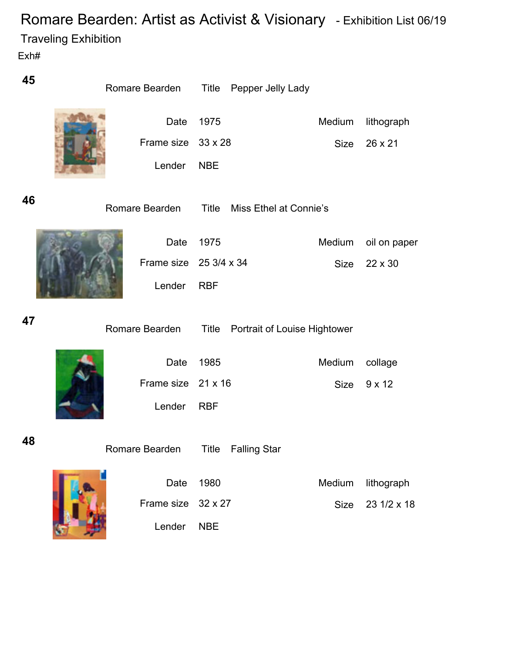Traveling Exhibition

| 45 | Romare Bearden         | Title          | Pepper Jelly Lady            |             |               |
|----|------------------------|----------------|------------------------------|-------------|---------------|
|    | Date                   | 1975           |                              | Medium      | lithograph    |
|    | Frame size 33 x 28     |                |                              | <b>Size</b> | 26 x 21       |
|    | Lender                 | <b>NBE</b>     |                              |             |               |
| 46 | Romare Bearden         | Title          | Miss Ethel at Connie's       |             |               |
|    | Date                   | 1975           |                              | Medium      | oil on paper  |
|    | Frame size 25 3/4 x 34 |                |                              | <b>Size</b> | 22 x 30       |
|    | Lender                 | <b>RBF</b>     |                              |             |               |
| 47 | Romare Bearden         | Title          | Portrait of Louise Hightower |             |               |
|    | Date                   | 1985           |                              | Medium      | collage       |
|    | Frame size 21 x 16     |                |                              | <b>Size</b> | $9 \times 12$ |
|    | Lender                 | <b>RBF</b>     |                              |             |               |
| 48 | Romare Bearden         | Title          | <b>Falling Star</b>          |             |               |
|    | Date                   | 1980           |                              | Medium      | lithograph    |
|    | Frame size             | $32 \times 27$ |                              | <b>Size</b> | 23 1/2 x 18   |
|    | Lender                 | <b>NBE</b>     |                              |             |               |
|    |                        |                |                              |             |               |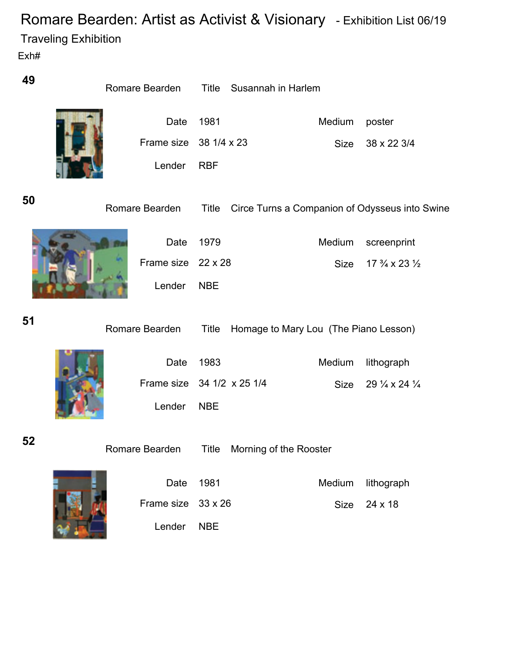Traveling Exhibition

Exh#

**49**

**50**

in the control

**51**

**52**

|  | Romare Bearden |                                                 |            | Title Susannah in Harlem                       |                                      |                                                |  |
|--|----------------|-------------------------------------------------|------------|------------------------------------------------|--------------------------------------|------------------------------------------------|--|
|  |                | Date                                            | 1981       |                                                | Medium                               | poster                                         |  |
|  |                | Frame size $38 \frac{1}{4} \times 23$<br>Lender | <b>RBF</b> |                                                | Size                                 | 38 x 22 3/4                                    |  |
|  | Romare Bearden |                                                 | Title      |                                                |                                      | Circe Turns a Companion of Odysseus into Swine |  |
|  |                | Date                                            | 1979       |                                                | Medium                               | screenprint                                    |  |
|  |                | Frame size 22 x 28                              | Size       |                                                | $17\frac{3}{4} \times 23\frac{1}{2}$ |                                                |  |
|  |                | Lender                                          | <b>NBE</b> |                                                |                                      |                                                |  |
|  |                | Romare Bearden                                  |            | Title<br>Homage to Mary Lou (The Piano Lesson) |                                      |                                                |  |
|  |                | Date                                            | 1983       |                                                | Medium                               | lithograph                                     |  |
|  |                | Frame size 34 1/2 x 25 1/4                      |            |                                                | Size                                 | 29 1/4 x 24 1/4                                |  |
|  |                | Lender                                          | <b>NBE</b> |                                                |                                      |                                                |  |
|  | Romare Bearden |                                                 | Title      | Morning of the Rooster                         |                                      |                                                |  |
|  |                | Date                                            | 1981       |                                                | Medium                               | lithograph                                     |  |
|  |                | Frame size                                      | 33 x 26    |                                                | <b>Size</b>                          | 24 x 18                                        |  |
|  |                | Lender                                          | <b>NBE</b> |                                                |                                      |                                                |  |
|  |                |                                                 |            |                                                |                                      |                                                |  |